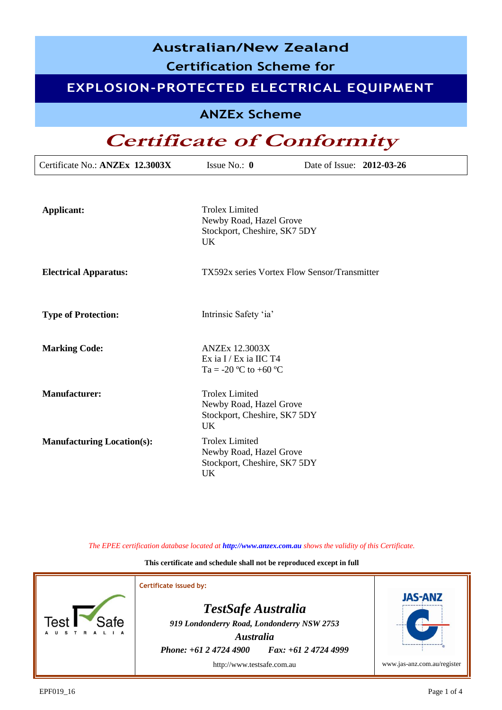| <b>Australian/New Zealand</b><br><b>Certification Scheme for</b> |                                                                                               |                                              |  |  |  |  |
|------------------------------------------------------------------|-----------------------------------------------------------------------------------------------|----------------------------------------------|--|--|--|--|
| EXPLOSION-PROTECTED ELECTRICAL EQUIPMENT                         |                                                                                               |                                              |  |  |  |  |
| <b>ANZEx Scheme</b>                                              |                                                                                               |                                              |  |  |  |  |
| <b>Certificate of Conformity</b>                                 |                                                                                               |                                              |  |  |  |  |
| Certificate No.: ANZEx 12.3003X                                  | Issue No.: $\mathbf{0}$                                                                       | Date of Issue: 2012-03-26                    |  |  |  |  |
| <b>Applicant:</b>                                                | <b>Trolex Limited</b><br>Newby Road, Hazel Grove<br>Stockport, Cheshire, SK7 5DY<br><b>UK</b> |                                              |  |  |  |  |
| <b>Electrical Apparatus:</b>                                     |                                                                                               | TX592x series Vortex Flow Sensor/Transmitter |  |  |  |  |
| <b>Type of Protection:</b>                                       | Intrinsic Safety 'ia'                                                                         |                                              |  |  |  |  |
| <b>Marking Code:</b>                                             | <b>ANZEx 12.3003X</b><br>Ex ia I / Ex ia IIC T4<br>Ta = -20 °C to +60 °C                      |                                              |  |  |  |  |
| <b>Manufacturer:</b>                                             | <b>Trolex Limited</b><br>Newby Road, Hazel Grove<br>Stockport, Cheshire, SK7 5DY<br><b>UK</b> |                                              |  |  |  |  |
| <b>Manufacturing Location(s):</b>                                | <b>Trolex Limited</b><br>Newby Road, Hazel Grove<br>Stockport, Cheshire, SK7 5DY<br>UK        |                                              |  |  |  |  |

*The EPEE certification database located at http://www.anzex.com.au shows the validity of this Certificate.*

**This certificate and schedule shall not be reproduced except in full**

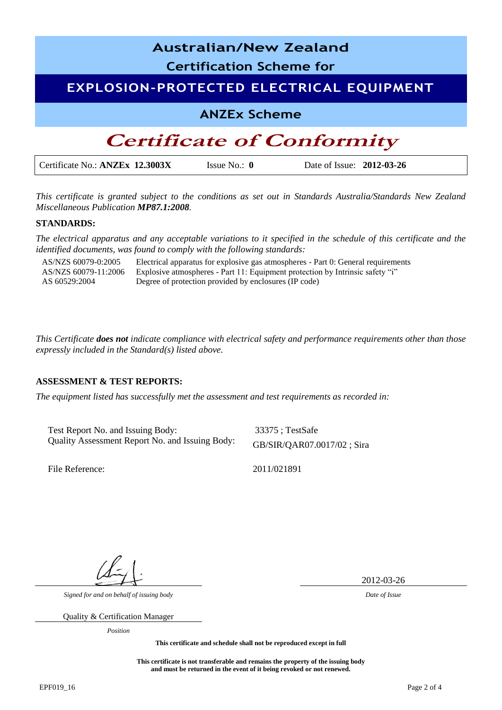

*This certificate is granted subject to the conditions as set out in Standards Australia/Standards New Zealand Miscellaneous Publication MP87.1:2008.*

#### **STANDARDS:**

*The electrical apparatus and any acceptable variations to it specified in the schedule of this certificate and the identified documents, was found to comply with the following standards:* 

AS/NZS 60079-0:2005 Electrical apparatus for explosive gas atmospheres - Part 0: General requirements AS/NZS 60079-11:2006 AS 60529:2004 Explosive atmospheres - Part 11: Equipment protection by Intrinsic safety "i" Degree of protection provided by enclosures (IP code)

*This Certificate does not indicate compliance with electrical safety and performance requirements other than those expressly included in the Standard(s) listed above.*

#### **ASSESSMENT & TEST REPORTS:**

*The equipment listed has successfully met the assessment and test requirements as recorded in:* 

Test Report No. and Issuing Body: 33375; TestSafe Quality Assessment Report No. and Issuing Body: GB/SIR/QAR07.0017/02 ; Sira

File Reference: 2011/021891

2012-03-26

*Signed for and on behalf of issuing body Date of Issue*

Quality & Certification Manager

*Position*

**This certificate and schedule shall not be reproduced except in full**

**This certificate is not transferable and remains the property of the issuing body and must be returned in the event of it being revoked or not renewed.**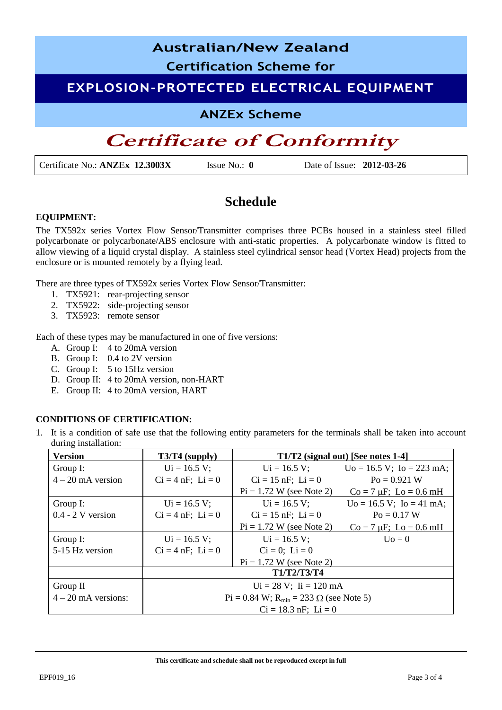# **Australian/New Zealand Certification Scheme for EXPLOSION-PROTECTED ELECTRICAL EQUIPMENT ANZEx Scheme**

## **Certificate of Conformity**

Certificate No.: **ANZEx 12.3003X** Issue No.: **0** Date of Issue: **2012-03-26**

### **Schedule**

#### **EQUIPMENT:**

The TX592x series Vortex Flow Sensor/Transmitter comprises three PCBs housed in a stainless steel filled polycarbonate or polycarbonate/ABS enclosure with anti-static properties. A polycarbonate window is fitted to allow viewing of a liquid crystal display. A stainless steel cylindrical sensor head (Vortex Head) projects from the enclosure or is mounted remotely by a flying lead.

There are three types of TX592x series Vortex Flow Sensor/Transmitter:

- 1. TX5921: rear-projecting sensor
- 2. TX5922: side-projecting sensor
- 3. TX5923: remote sensor

Each of these types may be manufactured in one of five versions:

- A. Group I: 4 to 20mA version
- B. Group I: 0.4 to 2V version
- C. Group I: 5 to 15Hz version
- D. Group II: 4 to 20mA version, non-HART
- E. Group II: 4 to 20mA version, HART

#### **CONDITIONS OF CERTIFICATION:**

1. It is a condition of safe use that the following entity parameters for the terminals shall be taken into account during installation:

| <b>Version</b>        | $T3/T4$ (supply)                                     | $T1/T2$ (signal out) [See notes 1-4] |                                        |  |  |
|-----------------------|------------------------------------------------------|--------------------------------------|----------------------------------------|--|--|
| Group I:              | $Ui = 16.5 V;$                                       | $Ui = 16.5 V;$                       | $Uo = 16.5 V$ ; $Io = 223 mA$ ;        |  |  |
| $4 - 20$ mA version   | $Ci = 4 nF$ ; $Li = 0$                               | $Ci = 15$ nF; $Li = 0$               | $P_0 = 0.921$ W                        |  |  |
|                       |                                                      | $Pi = 1.72$ W (see Note 2)           | $Co = 7 \mu F$ ; $Lo = 0.6 \text{ mH}$ |  |  |
| Group I:              | $Ui = 16.5 V;$                                       | $Ui = 16.5 V;$                       | $Uo = 16.5 V$ ; $Io = 41 mA$ ;         |  |  |
| $0.4 - 2$ V version   | $Ci = 4 nF$ ; $Li = 0$                               | $Ci = 15$ nF; $Li = 0$               | $P_0 = 0.17 W$                         |  |  |
|                       |                                                      | $Pi = 1.72 W$ (see Note 2)           | $Co = 7 \mu F$ ; $Lo = 0.6 \text{ mH}$ |  |  |
| Group I:              | $Ui = 16.5 V;$                                       | $Ui = 16.5 V;$                       | $U_0 = 0$                              |  |  |
| 5-15 Hz version       | $Ci = 4 nF$ ; $Li = 0$                               | $Ci = 0$ ; $Li = 0$                  |                                        |  |  |
|                       |                                                      | $Pi = 1.72$ W (see Note 2)           |                                        |  |  |
|                       | <b>T1/T2/T3/T4</b>                                   |                                      |                                        |  |  |
| Group $II$            | $Ui = 28 V$ ; $I = 120 mA$                           |                                      |                                        |  |  |
| $4 - 20$ mA versions: | $Pi = 0.84$ W; $R_{min} = 233$ $\Omega$ (see Note 5) |                                      |                                        |  |  |
|                       | $Ci = 18.3$ nF; $Li = 0$                             |                                      |                                        |  |  |